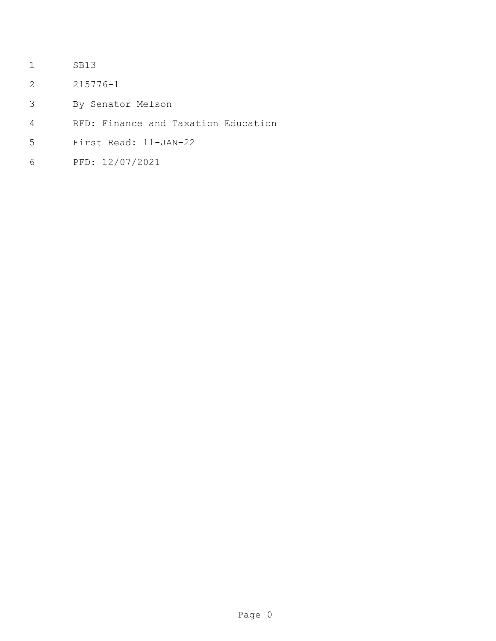- SB13
- 215776-1
- By Senator Melson
- RFD: Finance and Taxation Education
- First Read: 11-JAN-22
- PFD: 12/07/2021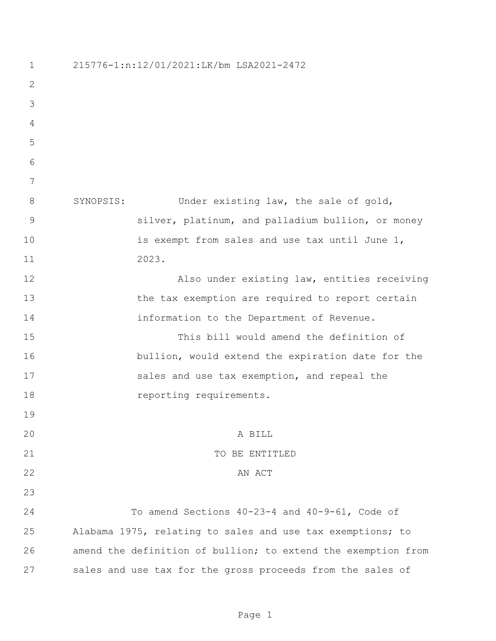215776-1:n:12/01/2021:LK/bm LSA2021-2472 8 SYNOPSIS: Under existing law, the sale of gold, silver, platinum, and palladium bullion, or money 10 is exempt from sales and use tax until June 1, 2023. Also under existing law, entities receiving 13 the tax exemption are required to report certain **information** to the Department of Revenue. This bill would amend the definition of bullion, would extend the expiration date for the 17 sales and use tax exemption, and repeal the 18 reporting requirements. A BILL 21 TO BE ENTITLED 22 AN ACT To amend Sections 40-23-4 and 40-9-61, Code of Alabama 1975, relating to sales and use tax exemptions; to amend the definition of bullion; to extend the exemption from sales and use tax for the gross proceeds from the sales of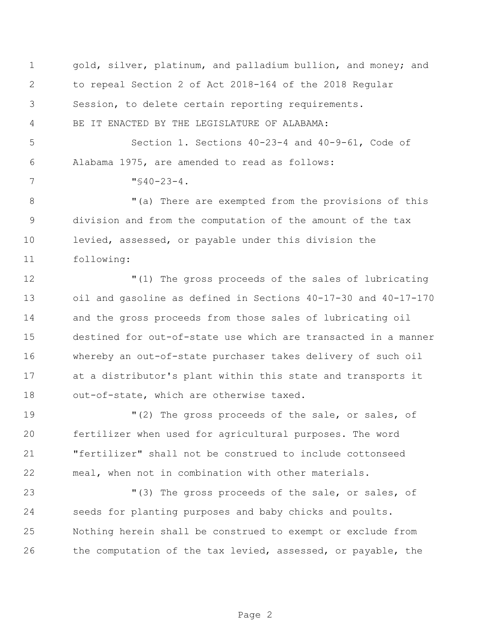| $\mathbf 1$    | gold, silver, platinum, and palladium bullion, and money; and  |
|----------------|----------------------------------------------------------------|
| $\mathbf{2}$   | to repeal Section 2 of Act 2018-164 of the 2018 Regular        |
| 3              | Session, to delete certain reporting requirements.             |
| $\overline{4}$ | BE IT ENACTED BY THE LEGISLATURE OF ALABAMA:                   |
| 5              | Section 1. Sections 40-23-4 and 40-9-61, Code of               |
| 6              | Alabama 1975, are amended to read as follows:                  |
| 7              | $\sqrt{540-23-4}$ .                                            |
| $8\,$          | "(a) There are exempted from the provisions of this            |
| 9              | division and from the computation of the amount of the tax     |
| 10             | levied, assessed, or payable under this division the           |
| 11             | following:                                                     |
| 12             | "(1) The gross proceeds of the sales of lubricating            |
| 13             | oil and gasoline as defined in Sections 40-17-30 and 40-17-170 |
| 14             | and the gross proceeds from those sales of lubricating oil     |
| 15             | destined for out-of-state use which are transacted in a manner |
| 16             | whereby an out-of-state purchaser takes delivery of such oil   |
| 17             | at a distributor's plant within this state and transports it   |
| 18             | out-of-state, which are otherwise taxed.                       |
| 19             | "(2) The gross proceeds of the sale, or sales, of              |
| 20             | fertilizer when used for agricultural purposes. The word       |
| 21             | "fertilizer" shall not be construed to include cottonseed      |
| 22             | meal, when not in combination with other materials.            |
| 23             | "(3) The gross proceeds of the sale, or sales, of              |
| 24             | seeds for planting purposes and baby chicks and poults.        |
| 25             | Nothing herein shall be construed to exempt or exclude from    |
| 26             | the computation of the tax levied, assessed, or payable, the   |
|                |                                                                |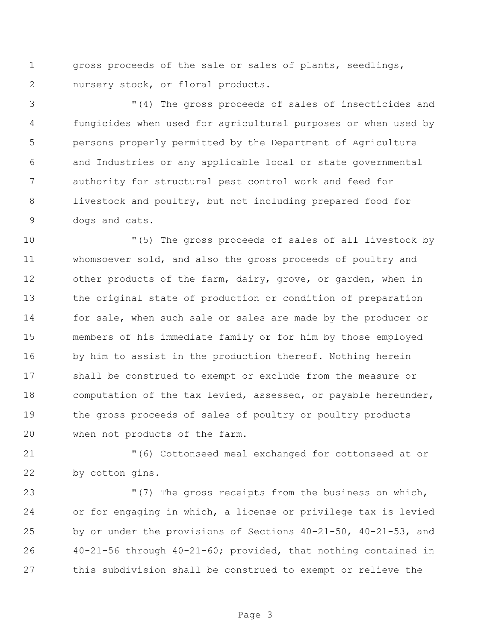gross proceeds of the sale or sales of plants, seedlings, nursery stock, or floral products.

 "(4) The gross proceeds of sales of insecticides and fungicides when used for agricultural purposes or when used by persons properly permitted by the Department of Agriculture and Industries or any applicable local or state governmental authority for structural pest control work and feed for livestock and poultry, but not including prepared food for dogs and cats.

 "(5) The gross proceeds of sales of all livestock by whomsoever sold, and also the gross proceeds of poultry and other products of the farm, dairy, grove, or garden, when in the original state of production or condition of preparation for sale, when such sale or sales are made by the producer or members of his immediate family or for him by those employed 16 by him to assist in the production thereof. Nothing herein shall be construed to exempt or exclude from the measure or computation of the tax levied, assessed, or payable hereunder, the gross proceeds of sales of poultry or poultry products when not products of the farm.

 "(6) Cottonseed meal exchanged for cottonseed at or by cotton gins.

 "(7) The gross receipts from the business on which, or for engaging in which, a license or privilege tax is levied by or under the provisions of Sections 40-21-50, 40-21-53, and 40-21-56 through 40-21-60; provided, that nothing contained in this subdivision shall be construed to exempt or relieve the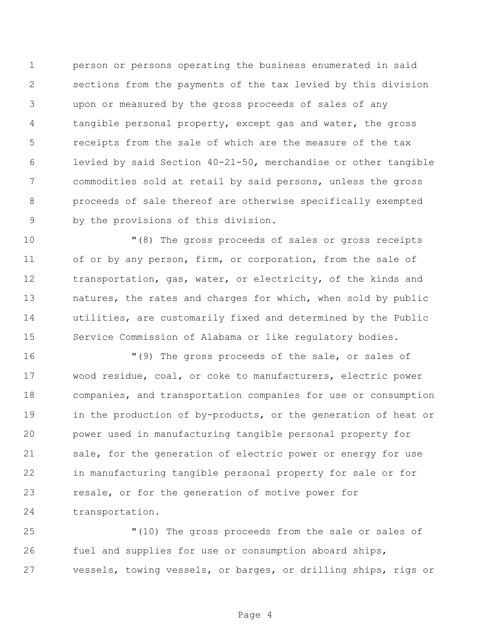person or persons operating the business enumerated in said sections from the payments of the tax levied by this division upon or measured by the gross proceeds of sales of any tangible personal property, except gas and water, the gross receipts from the sale of which are the measure of the tax levied by said Section 40-21-50, merchandise or other tangible commodities sold at retail by said persons, unless the gross proceeds of sale thereof are otherwise specifically exempted by the provisions of this division.

 "(8) The gross proceeds of sales or gross receipts 11 of or by any person, firm, or corporation, from the sale of transportation, gas, water, or electricity, of the kinds and natures, the rates and charges for which, when sold by public utilities, are customarily fixed and determined by the Public Service Commission of Alabama or like regulatory bodies.

 "(9) The gross proceeds of the sale, or sales of wood residue, coal, or coke to manufacturers, electric power companies, and transportation companies for use or consumption 19 in the production of by-products, or the generation of heat or power used in manufacturing tangible personal property for 21 sale, for the generation of electric power or energy for use in manufacturing tangible personal property for sale or for resale, or for the generation of motive power for transportation.

 "(10) The gross proceeds from the sale or sales of fuel and supplies for use or consumption aboard ships, vessels, towing vessels, or barges, or drilling ships, rigs or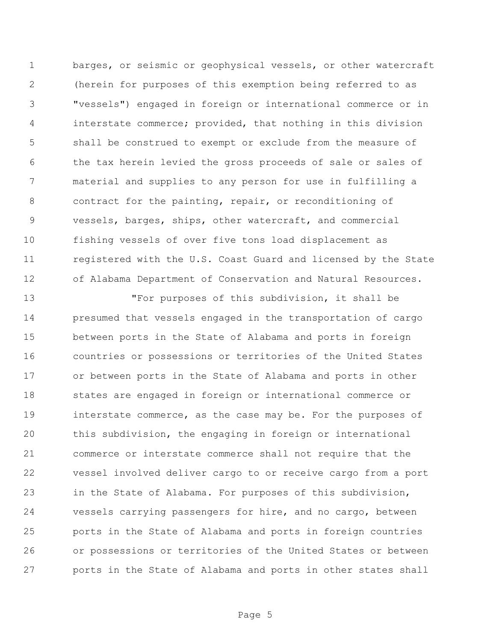barges, or seismic or geophysical vessels, or other watercraft (herein for purposes of this exemption being referred to as "vessels") engaged in foreign or international commerce or in interstate commerce; provided, that nothing in this division shall be construed to exempt or exclude from the measure of the tax herein levied the gross proceeds of sale or sales of material and supplies to any person for use in fulfilling a contract for the painting, repair, or reconditioning of vessels, barges, ships, other watercraft, and commercial fishing vessels of over five tons load displacement as 11 registered with the U.S. Coast Guard and licensed by the State of Alabama Department of Conservation and Natural Resources.

 "For purposes of this subdivision, it shall be presumed that vessels engaged in the transportation of cargo between ports in the State of Alabama and ports in foreign countries or possessions or territories of the United States or between ports in the State of Alabama and ports in other states are engaged in foreign or international commerce or interstate commerce, as the case may be. For the purposes of this subdivision, the engaging in foreign or international commerce or interstate commerce shall not require that the vessel involved deliver cargo to or receive cargo from a port in the State of Alabama. For purposes of this subdivision, vessels carrying passengers for hire, and no cargo, between ports in the State of Alabama and ports in foreign countries or possessions or territories of the United States or between ports in the State of Alabama and ports in other states shall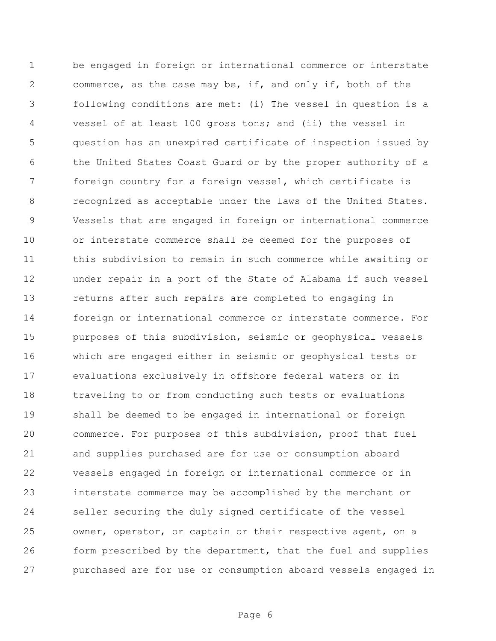be engaged in foreign or international commerce or interstate commerce, as the case may be, if, and only if, both of the following conditions are met: (i) The vessel in question is a vessel of at least 100 gross tons; and (ii) the vessel in question has an unexpired certificate of inspection issued by the United States Coast Guard or by the proper authority of a foreign country for a foreign vessel, which certificate is recognized as acceptable under the laws of the United States. Vessels that are engaged in foreign or international commerce or interstate commerce shall be deemed for the purposes of this subdivision to remain in such commerce while awaiting or under repair in a port of the State of Alabama if such vessel returns after such repairs are completed to engaging in foreign or international commerce or interstate commerce. For purposes of this subdivision, seismic or geophysical vessels which are engaged either in seismic or geophysical tests or evaluations exclusively in offshore federal waters or in traveling to or from conducting such tests or evaluations shall be deemed to be engaged in international or foreign commerce. For purposes of this subdivision, proof that fuel and supplies purchased are for use or consumption aboard vessels engaged in foreign or international commerce or in interstate commerce may be accomplished by the merchant or seller securing the duly signed certificate of the vessel owner, operator, or captain or their respective agent, on a form prescribed by the department, that the fuel and supplies purchased are for use or consumption aboard vessels engaged in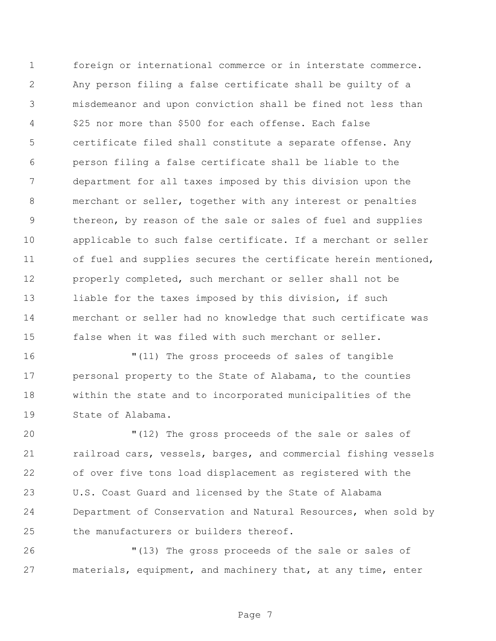foreign or international commerce or in interstate commerce. Any person filing a false certificate shall be guilty of a misdemeanor and upon conviction shall be fined not less than \$25 nor more than \$500 for each offense. Each false certificate filed shall constitute a separate offense. Any person filing a false certificate shall be liable to the department for all taxes imposed by this division upon the merchant or seller, together with any interest or penalties thereon, by reason of the sale or sales of fuel and supplies applicable to such false certificate. If a merchant or seller of fuel and supplies secures the certificate herein mentioned, properly completed, such merchant or seller shall not be 13 liable for the taxes imposed by this division, if such merchant or seller had no knowledge that such certificate was false when it was filed with such merchant or seller.

 "(11) The gross proceeds of sales of tangible personal property to the State of Alabama, to the counties within the state and to incorporated municipalities of the State of Alabama.

 "(12) The gross proceeds of the sale or sales of railroad cars, vessels, barges, and commercial fishing vessels of over five tons load displacement as registered with the U.S. Coast Guard and licensed by the State of Alabama Department of Conservation and Natural Resources, when sold by the manufacturers or builders thereof.

 "(13) The gross proceeds of the sale or sales of materials, equipment, and machinery that, at any time, enter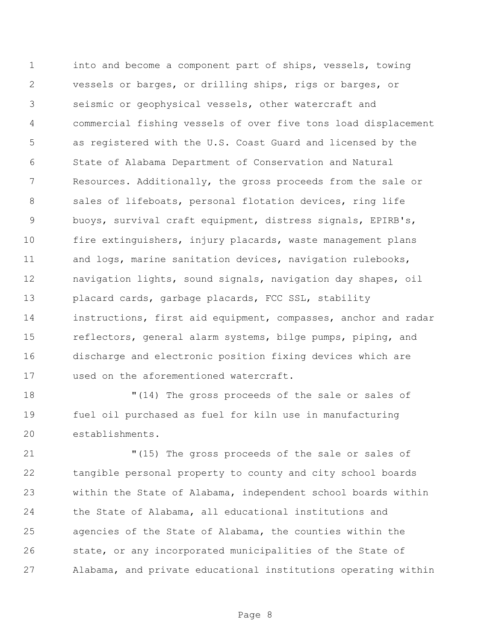into and become a component part of ships, vessels, towing vessels or barges, or drilling ships, rigs or barges, or seismic or geophysical vessels, other watercraft and commercial fishing vessels of over five tons load displacement as registered with the U.S. Coast Guard and licensed by the State of Alabama Department of Conservation and Natural Resources. Additionally, the gross proceeds from the sale or 8 sales of lifeboats, personal flotation devices, ring life buoys, survival craft equipment, distress signals, EPIRB's, fire extinguishers, injury placards, waste management plans 11 and logs, marine sanitation devices, navigation rulebooks, navigation lights, sound signals, navigation day shapes, oil placard cards, garbage placards, FCC SSL, stability instructions, first aid equipment, compasses, anchor and radar reflectors, general alarm systems, bilge pumps, piping, and discharge and electronic position fixing devices which are used on the aforementioned watercraft.

 "(14) The gross proceeds of the sale or sales of fuel oil purchased as fuel for kiln use in manufacturing establishments.

 "(15) The gross proceeds of the sale or sales of tangible personal property to county and city school boards within the State of Alabama, independent school boards within the State of Alabama, all educational institutions and agencies of the State of Alabama, the counties within the state, or any incorporated municipalities of the State of Alabama, and private educational institutions operating within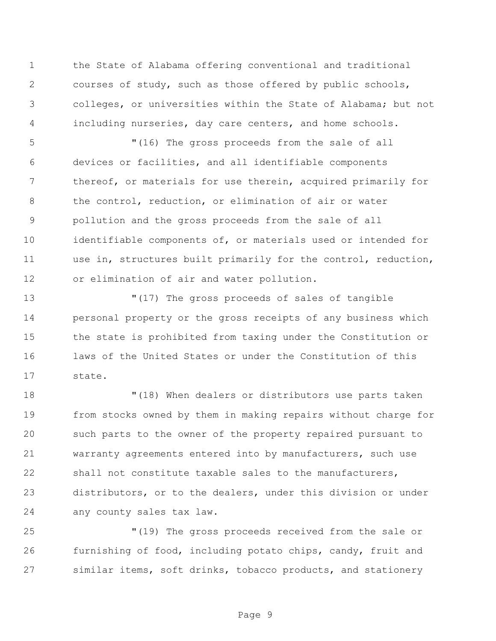the State of Alabama offering conventional and traditional courses of study, such as those offered by public schools, colleges, or universities within the State of Alabama; but not including nurseries, day care centers, and home schools.

 "(16) The gross proceeds from the sale of all devices or facilities, and all identifiable components thereof, or materials for use therein, acquired primarily for the control, reduction, or elimination of air or water pollution and the gross proceeds from the sale of all identifiable components of, or materials used or intended for use in, structures built primarily for the control, reduction, or elimination of air and water pollution.

 "(17) The gross proceeds of sales of tangible personal property or the gross receipts of any business which the state is prohibited from taxing under the Constitution or laws of the United States or under the Constitution of this state.

 "(18) When dealers or distributors use parts taken from stocks owned by them in making repairs without charge for such parts to the owner of the property repaired pursuant to warranty agreements entered into by manufacturers, such use shall not constitute taxable sales to the manufacturers, distributors, or to the dealers, under this division or under any county sales tax law.

 "(19) The gross proceeds received from the sale or furnishing of food, including potato chips, candy, fruit and similar items, soft drinks, tobacco products, and stationery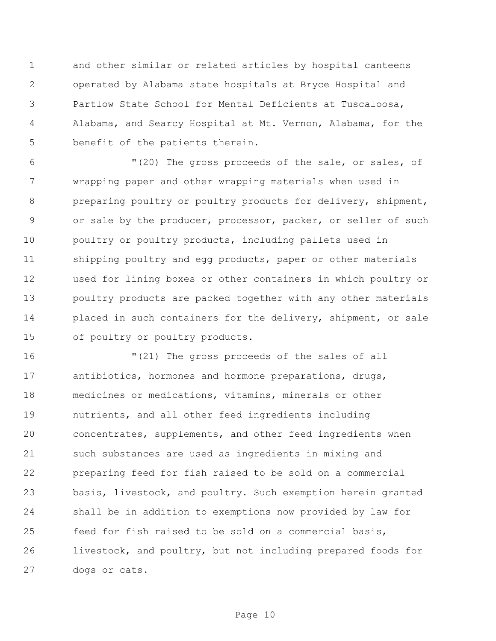and other similar or related articles by hospital canteens operated by Alabama state hospitals at Bryce Hospital and Partlow State School for Mental Deficients at Tuscaloosa, Alabama, and Searcy Hospital at Mt. Vernon, Alabama, for the benefit of the patients therein.

 "(20) The gross proceeds of the sale, or sales, of wrapping paper and other wrapping materials when used in preparing poultry or poultry products for delivery, shipment, or sale by the producer, processor, packer, or seller of such 10 poultry or poultry products, including pallets used in shipping poultry and egg products, paper or other materials used for lining boxes or other containers in which poultry or poultry products are packed together with any other materials 14 placed in such containers for the delivery, shipment, or sale of poultry or poultry products.

 "(21) The gross proceeds of the sales of all antibiotics, hormones and hormone preparations, drugs, medicines or medications, vitamins, minerals or other nutrients, and all other feed ingredients including concentrates, supplements, and other feed ingredients when such substances are used as ingredients in mixing and preparing feed for fish raised to be sold on a commercial basis, livestock, and poultry. Such exemption herein granted shall be in addition to exemptions now provided by law for feed for fish raised to be sold on a commercial basis, livestock, and poultry, but not including prepared foods for dogs or cats.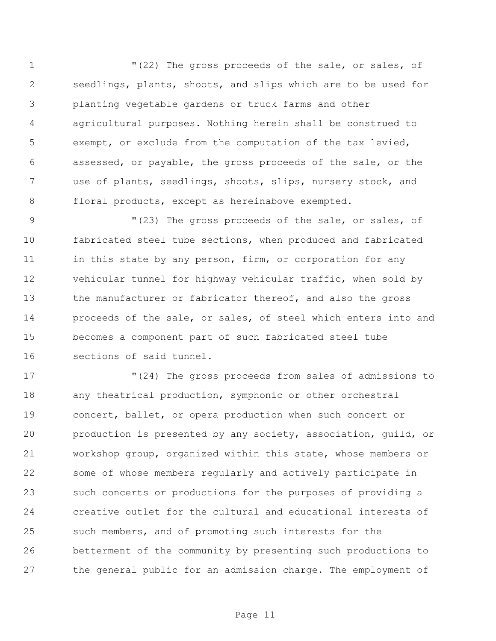"(22) The gross proceeds of the sale, or sales, of seedlings, plants, shoots, and slips which are to be used for planting vegetable gardens or truck farms and other agricultural purposes. Nothing herein shall be construed to exempt, or exclude from the computation of the tax levied, assessed, or payable, the gross proceeds of the sale, or the use of plants, seedlings, shoots, slips, nursery stock, and floral products, except as hereinabove exempted.

 "(23) The gross proceeds of the sale, or sales, of fabricated steel tube sections, when produced and fabricated 11 in this state by any person, firm, or corporation for any vehicular tunnel for highway vehicular traffic, when sold by 13 the manufacturer or fabricator thereof, and also the gross proceeds of the sale, or sales, of steel which enters into and becomes a component part of such fabricated steel tube sections of said tunnel.

 "(24) The gross proceeds from sales of admissions to any theatrical production, symphonic or other orchestral concert, ballet, or opera production when such concert or production is presented by any society, association, guild, or workshop group, organized within this state, whose members or some of whose members regularly and actively participate in such concerts or productions for the purposes of providing a creative outlet for the cultural and educational interests of such members, and of promoting such interests for the betterment of the community by presenting such productions to the general public for an admission charge. The employment of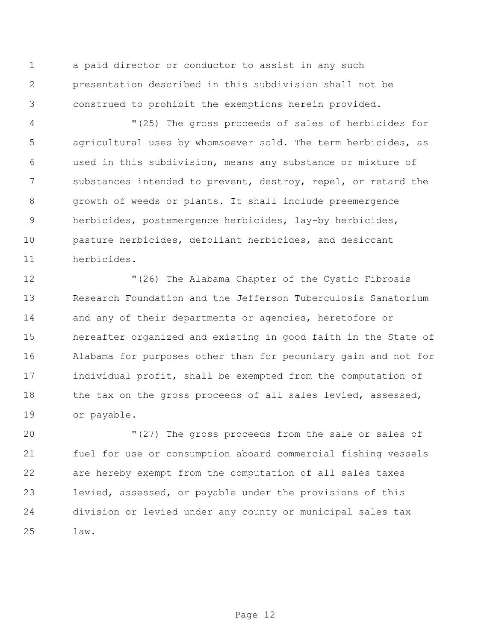a paid director or conductor to assist in any such presentation described in this subdivision shall not be construed to prohibit the exemptions herein provided.

 "(25) The gross proceeds of sales of herbicides for agricultural uses by whomsoever sold. The term herbicides, as used in this subdivision, means any substance or mixture of 7 substances intended to prevent, destroy, repel, or retard the growth of weeds or plants. It shall include preemergence herbicides, postemergence herbicides, lay-by herbicides, pasture herbicides, defoliant herbicides, and desiccant herbicides.

 "(26) The Alabama Chapter of the Cystic Fibrosis Research Foundation and the Jefferson Tuberculosis Sanatorium 14 and any of their departments or agencies, heretofore or hereafter organized and existing in good faith in the State of Alabama for purposes other than for pecuniary gain and not for individual profit, shall be exempted from the computation of 18 the tax on the gross proceeds of all sales levied, assessed, or payable.

 "(27) The gross proceeds from the sale or sales of fuel for use or consumption aboard commercial fishing vessels are hereby exempt from the computation of all sales taxes levied, assessed, or payable under the provisions of this division or levied under any county or municipal sales tax law.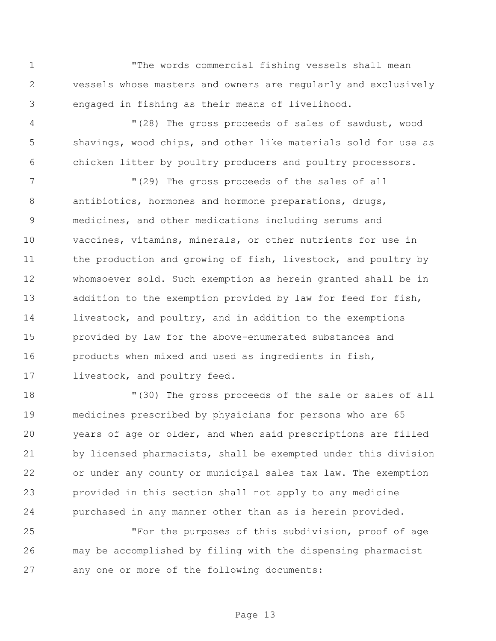"The words commercial fishing vessels shall mean vessels whose masters and owners are regularly and exclusively engaged in fishing as their means of livelihood.

 "(28) The gross proceeds of sales of sawdust, wood shavings, wood chips, and other like materials sold for use as chicken litter by poultry producers and poultry processors.

 "(29) The gross proceeds of the sales of all antibiotics, hormones and hormone preparations, drugs, medicines, and other medications including serums and vaccines, vitamins, minerals, or other nutrients for use in 11 the production and growing of fish, livestock, and poultry by whomsoever sold. Such exemption as herein granted shall be in 13 addition to the exemption provided by law for feed for fish, livestock, and poultry, and in addition to the exemptions provided by law for the above-enumerated substances and products when mixed and used as ingredients in fish, 17 livestock, and poultry feed.

 "(30) The gross proceeds of the sale or sales of all medicines prescribed by physicians for persons who are 65 years of age or older, and when said prescriptions are filled by licensed pharmacists, shall be exempted under this division or under any county or municipal sales tax law. The exemption provided in this section shall not apply to any medicine purchased in any manner other than as is herein provided.

 "For the purposes of this subdivision, proof of age may be accomplished by filing with the dispensing pharmacist any one or more of the following documents: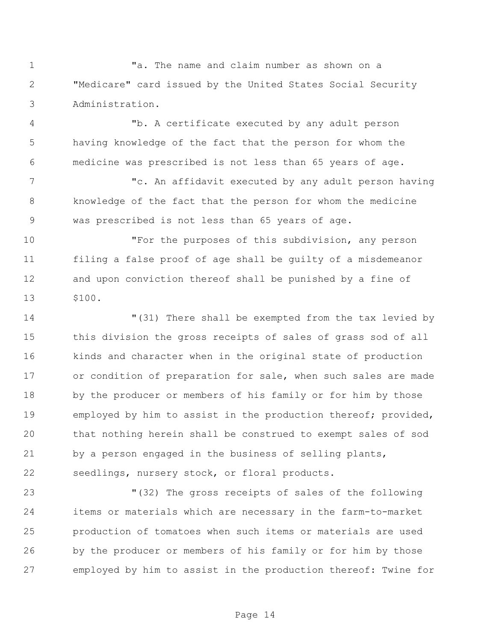"a. The name and claim number as shown on a "Medicare" card issued by the United States Social Security Administration.

 "b. A certificate executed by any adult person having knowledge of the fact that the person for whom the medicine was prescribed is not less than 65 years of age.

 "c. An affidavit executed by any adult person having knowledge of the fact that the person for whom the medicine was prescribed is not less than 65 years of age.

 "For the purposes of this subdivision, any person filing a false proof of age shall be guilty of a misdemeanor and upon conviction thereof shall be punished by a fine of \$100.

 "(31) There shall be exempted from the tax levied by this division the gross receipts of sales of grass sod of all kinds and character when in the original state of production 17 or condition of preparation for sale, when such sales are made by the producer or members of his family or for him by those employed by him to assist in the production thereof; provided, that nothing herein shall be construed to exempt sales of sod by a person engaged in the business of selling plants, seedlings, nursery stock, or floral products.

 "(32) The gross receipts of sales of the following items or materials which are necessary in the farm-to-market production of tomatoes when such items or materials are used by the producer or members of his family or for him by those employed by him to assist in the production thereof: Twine for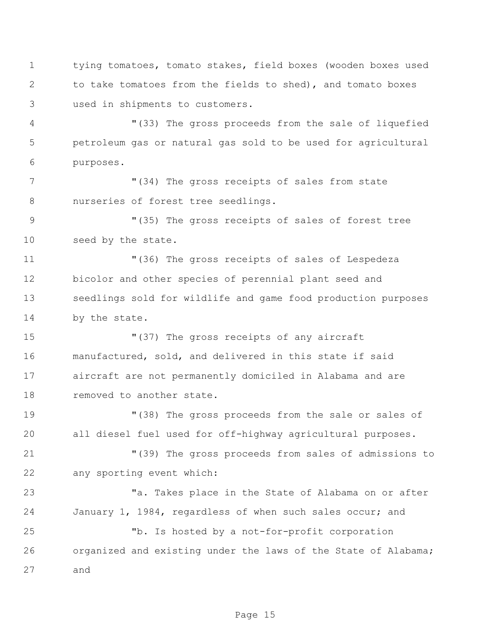tying tomatoes, tomato stakes, field boxes (wooden boxes used to take tomatoes from the fields to shed), and tomato boxes used in shipments to customers.

 "(33) The gross proceeds from the sale of liquefied petroleum gas or natural gas sold to be used for agricultural purposes.

 "(34) The gross receipts of sales from state nurseries of forest tree seedlings.

 "(35) The gross receipts of sales of forest tree seed by the state.

 "(36) The gross receipts of sales of Lespedeza bicolor and other species of perennial plant seed and seedlings sold for wildlife and game food production purposes by the state.

 "(37) The gross receipts of any aircraft manufactured, sold, and delivered in this state if said aircraft are not permanently domiciled in Alabama and are 18 removed to another state.

 "(38) The gross proceeds from the sale or sales of all diesel fuel used for off-highway agricultural purposes.

 "(39) The gross proceeds from sales of admissions to any sporting event which:

23 Takes place in the State of Alabama on or after January 1, 1984, regardless of when such sales occur; and

 "b. Is hosted by a not-for-profit corporation organized and existing under the laws of the State of Alabama; and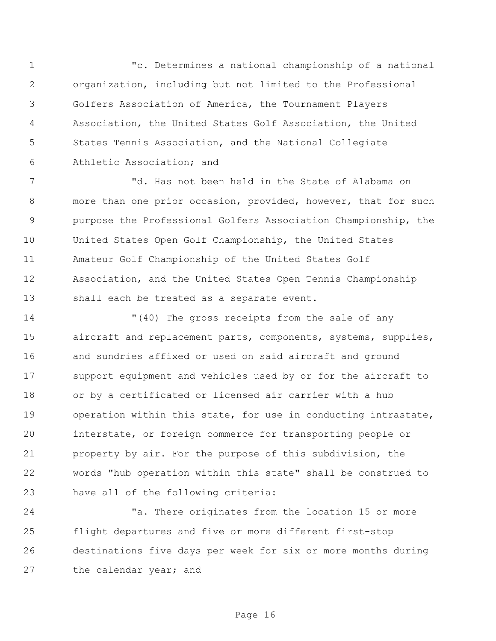"c. Determines a national championship of a national organization, including but not limited to the Professional Golfers Association of America, the Tournament Players Association, the United States Golf Association, the United States Tennis Association, and the National Collegiate Athletic Association; and

 "d. Has not been held in the State of Alabama on more than one prior occasion, provided, however, that for such purpose the Professional Golfers Association Championship, the United States Open Golf Championship, the United States Amateur Golf Championship of the United States Golf Association, and the United States Open Tennis Championship shall each be treated as a separate event.

 "(40) The gross receipts from the sale of any 15 aircraft and replacement parts, components, systems, supplies, and sundries affixed or used on said aircraft and ground support equipment and vehicles used by or for the aircraft to or by a certificated or licensed air carrier with a hub operation within this state, for use in conducting intrastate, interstate, or foreign commerce for transporting people or property by air. For the purpose of this subdivision, the words "hub operation within this state" shall be construed to have all of the following criteria:

 "a. There originates from the location 15 or more flight departures and five or more different first-stop destinations five days per week for six or more months during 27 the calendar year; and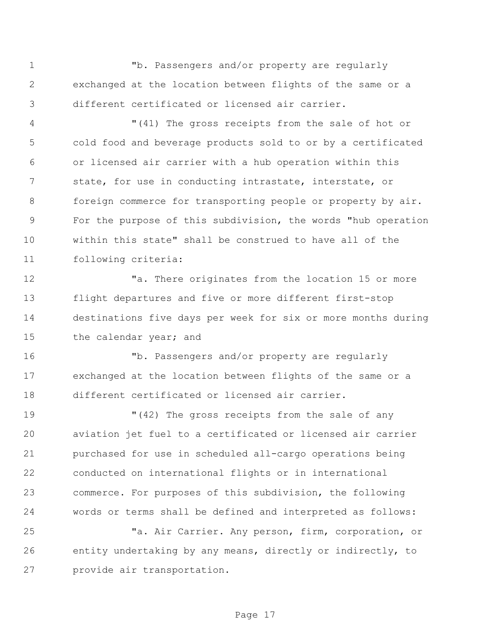"b. Passengers and/or property are regularly exchanged at the location between flights of the same or a different certificated or licensed air carrier.

 "(41) The gross receipts from the sale of hot or cold food and beverage products sold to or by a certificated or licensed air carrier with a hub operation within this state, for use in conducting intrastate, interstate, or 8 foreign commerce for transporting people or property by air. For the purpose of this subdivision, the words "hub operation within this state" shall be construed to have all of the following criteria:

12 There originates from the location 15 or more flight departures and five or more different first-stop destinations five days per week for six or more months during 15 the calendar year; and

 "b. Passengers and/or property are regularly exchanged at the location between flights of the same or a different certificated or licensed air carrier.

 "(42) The gross receipts from the sale of any aviation jet fuel to a certificated or licensed air carrier purchased for use in scheduled all-cargo operations being conducted on international flights or in international commerce. For purposes of this subdivision, the following words or terms shall be defined and interpreted as follows:

 "a. Air Carrier. Any person, firm, corporation, or entity undertaking by any means, directly or indirectly, to provide air transportation.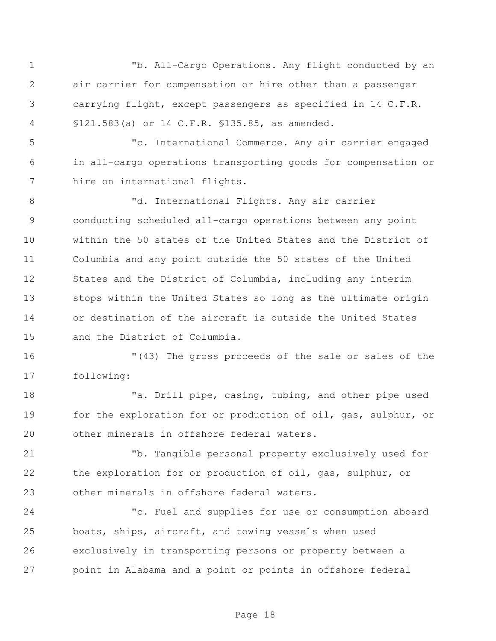"b. All-Cargo Operations. Any flight conducted by an air carrier for compensation or hire other than a passenger carrying flight, except passengers as specified in 14 C.F.R. §121.583(a) or 14 C.F.R. §135.85, as amended.

 "c. International Commerce. Any air carrier engaged in all-cargo operations transporting goods for compensation or hire on international flights.

 "d. International Flights. Any air carrier conducting scheduled all-cargo operations between any point within the 50 states of the United States and the District of Columbia and any point outside the 50 states of the United States and the District of Columbia, including any interim stops within the United States so long as the ultimate origin or destination of the aircraft is outside the United States and the District of Columbia.

 "(43) The gross proceeds of the sale or sales of the following:

 "a. Drill pipe, casing, tubing, and other pipe used for the exploration for or production of oil, gas, sulphur, or other minerals in offshore federal waters.

 "b. Tangible personal property exclusively used for the exploration for or production of oil, gas, sulphur, or other minerals in offshore federal waters.

 "c. Fuel and supplies for use or consumption aboard boats, ships, aircraft, and towing vessels when used exclusively in transporting persons or property between a point in Alabama and a point or points in offshore federal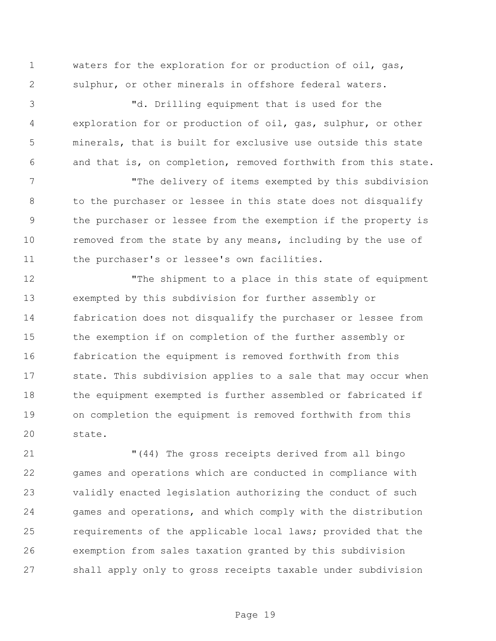waters for the exploration for or production of oil, gas, sulphur, or other minerals in offshore federal waters.

 "d. Drilling equipment that is used for the exploration for or production of oil, gas, sulphur, or other minerals, that is built for exclusive use outside this state and that is, on completion, removed forthwith from this state.

 "The delivery of items exempted by this subdivision to the purchaser or lessee in this state does not disqualify the purchaser or lessee from the exemption if the property is 10 removed from the state by any means, including by the use of 11 the purchaser's or lessee's own facilities.

 "The shipment to a place in this state of equipment exempted by this subdivision for further assembly or fabrication does not disqualify the purchaser or lessee from the exemption if on completion of the further assembly or fabrication the equipment is removed forthwith from this state. This subdivision applies to a sale that may occur when the equipment exempted is further assembled or fabricated if on completion the equipment is removed forthwith from this state.

 "(44) The gross receipts derived from all bingo games and operations which are conducted in compliance with validly enacted legislation authorizing the conduct of such games and operations, and which comply with the distribution requirements of the applicable local laws; provided that the exemption from sales taxation granted by this subdivision shall apply only to gross receipts taxable under subdivision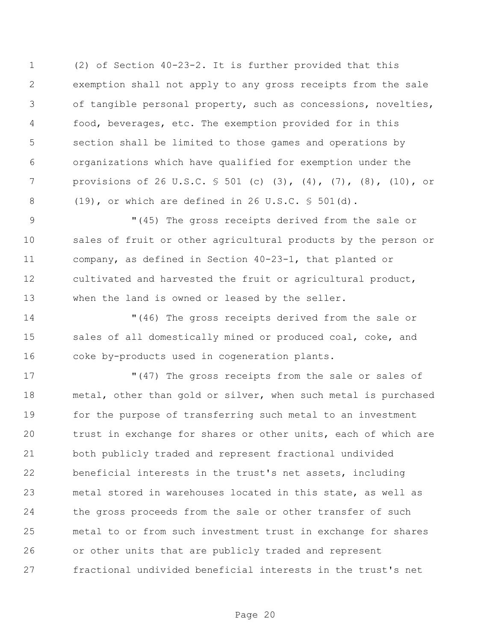(2) of Section 40-23-2. It is further provided that this exemption shall not apply to any gross receipts from the sale of tangible personal property, such as concessions, novelties, food, beverages, etc. The exemption provided for in this section shall be limited to those games and operations by organizations which have qualified for exemption under the provisions of 26 U.S.C. § 501 (c) (3), (4), (7), (8), (10), or (19), or which are defined in 26 U.S.C. § 501(d).

 "(45) The gross receipts derived from the sale or sales of fruit or other agricultural products by the person or company, as defined in Section 40-23-1, that planted or cultivated and harvested the fruit or agricultural product, when the land is owned or leased by the seller.

 "(46) The gross receipts derived from the sale or 15 sales of all domestically mined or produced coal, coke, and coke by-products used in cogeneration plants.

17 The gross receipts from the sale or sales of metal, other than gold or silver, when such metal is purchased for the purpose of transferring such metal to an investment trust in exchange for shares or other units, each of which are both publicly traded and represent fractional undivided beneficial interests in the trust's net assets, including metal stored in warehouses located in this state, as well as the gross proceeds from the sale or other transfer of such metal to or from such investment trust in exchange for shares or other units that are publicly traded and represent fractional undivided beneficial interests in the trust's net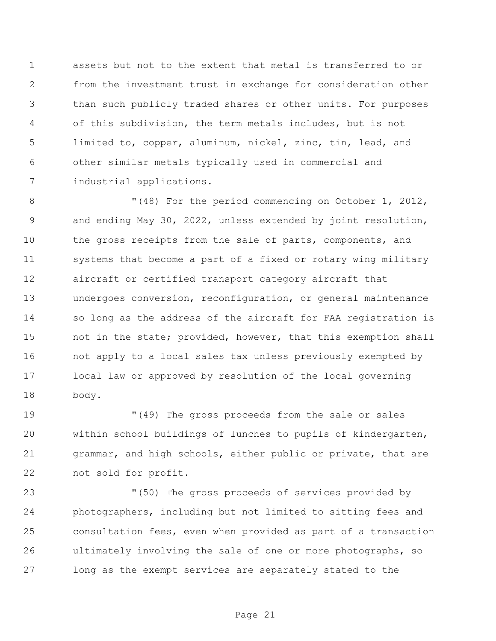assets but not to the extent that metal is transferred to or from the investment trust in exchange for consideration other than such publicly traded shares or other units. For purposes of this subdivision, the term metals includes, but is not limited to, copper, aluminum, nickel, zinc, tin, lead, and other similar metals typically used in commercial and industrial applications.

 "(48) For the period commencing on October 1, 2012, and ending May 30, 2022, unless extended by joint resolution, the gross receipts from the sale of parts, components, and systems that become a part of a fixed or rotary wing military aircraft or certified transport category aircraft that undergoes conversion, reconfiguration, or general maintenance so long as the address of the aircraft for FAA registration is 15 not in the state; provided, however, that this exemption shall not apply to a local sales tax unless previously exempted by local law or approved by resolution of the local governing body.

 "(49) The gross proceeds from the sale or sales within school buildings of lunches to pupils of kindergarten, grammar, and high schools, either public or private, that are not sold for profit.

 "(50) The gross proceeds of services provided by photographers, including but not limited to sitting fees and consultation fees, even when provided as part of a transaction ultimately involving the sale of one or more photographs, so long as the exempt services are separately stated to the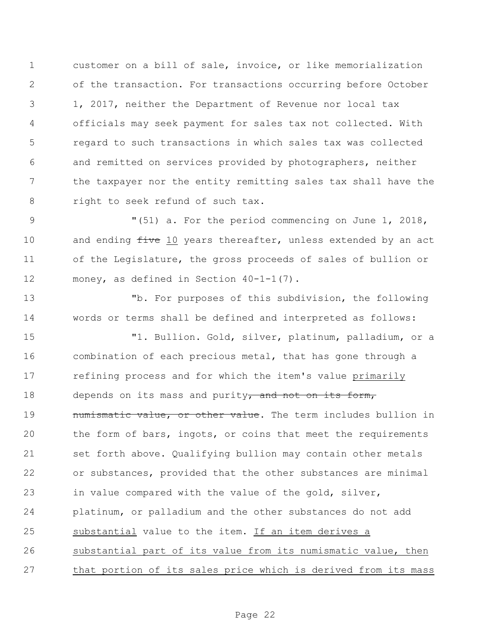customer on a bill of sale, invoice, or like memorialization of the transaction. For transactions occurring before October 1, 2017, neither the Department of Revenue nor local tax officials may seek payment for sales tax not collected. With regard to such transactions in which sales tax was collected and remitted on services provided by photographers, neither the taxpayer nor the entity remitting sales tax shall have the right to seek refund of such tax.

 "(51) a. For the period commencing on June 1, 2018, 10 and ending five 10 years thereafter, unless extended by an act of the Legislature, the gross proceeds of sales of bullion or money, as defined in Section 40-1-1(7).

 "b. For purposes of this subdivision, the following words or terms shall be defined and interpreted as follows:

 "1. Bullion. Gold, silver, platinum, palladium, or a combination of each precious metal, that has gone through a refining process and for which the item's value primarily 18 depends on its mass and purity, and not on its form, **numismatic value, or other value.** The term includes bullion in the form of bars, ingots, or coins that meet the requirements 21 set forth above. Qualifying bullion may contain other metals or substances, provided that the other substances are minimal in value compared with the value of the gold, silver, platinum, or palladium and the other substances do not add substantial value to the item. If an item derives a substantial part of its value from its numismatic value, then that portion of its sales price which is derived from its mass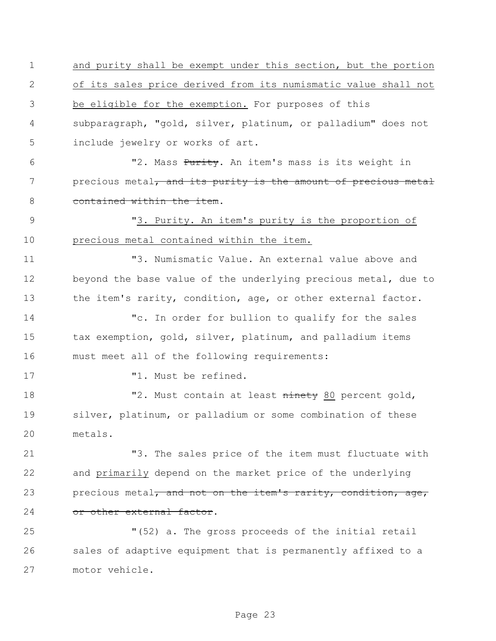and purity shall be exempt under this section, but the portion of its sales price derived from its numismatic value shall not be eligible for the exemption. For purposes of this subparagraph, "gold, silver, platinum, or palladium" does not include jewelry or works of art. 6 The Mass Purity. An item's mass is its weight in 7 precious metal, and its purity is the amount of precious metal 8 contained within the item. "3. Purity. An item's purity is the proportion of precious metal contained within the item. "3. Numismatic Value. An external value above and beyond the base value of the underlying precious metal, due to 13 the item's rarity, condition, age, or other external factor. "c. In order for bullion to qualify for the sales tax exemption, gold, silver, platinum, and palladium items must meet all of the following requirements: 17 T1. Must be refined. **18** "2. Must contain at least ninety 80 percent gold, silver, platinum, or palladium or some combination of these metals. "3. The sales price of the item must fluctuate with and primarily depend on the market price of the underlying 23 precious metal, and not on the item's rarity, condition, age, 24 or other external factor. "(52) a. The gross proceeds of the initial retail sales of adaptive equipment that is permanently affixed to a motor vehicle.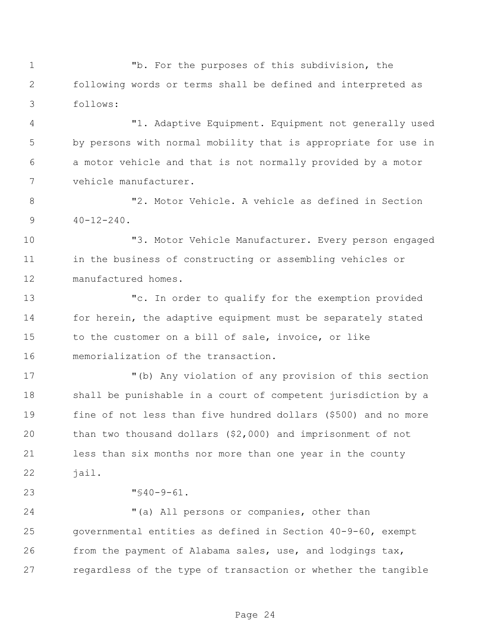"b. For the purposes of this subdivision, the following words or terms shall be defined and interpreted as follows:

 "1. Adaptive Equipment. Equipment not generally used by persons with normal mobility that is appropriate for use in a motor vehicle and that is not normally provided by a motor vehicle manufacturer.

 "2. Motor Vehicle. A vehicle as defined in Section  $9 \t 40-12-240$ .

 "3. Motor Vehicle Manufacturer. Every person engaged in the business of constructing or assembling vehicles or manufactured homes.

 "c. In order to qualify for the exemption provided 14 for herein, the adaptive equipment must be separately stated to the customer on a bill of sale, invoice, or like memorialization of the transaction.

 "(b) Any violation of any provision of this section shall be punishable in a court of competent jurisdiction by a fine of not less than five hundred dollars (\$500) and no more than two thousand dollars (\$2,000) and imprisonment of not less than six months nor more than one year in the county jail.

"§40-9-61.

 "(a) All persons or companies, other than governmental entities as defined in Section 40-9-60, exempt from the payment of Alabama sales, use, and lodgings tax, regardless of the type of transaction or whether the tangible